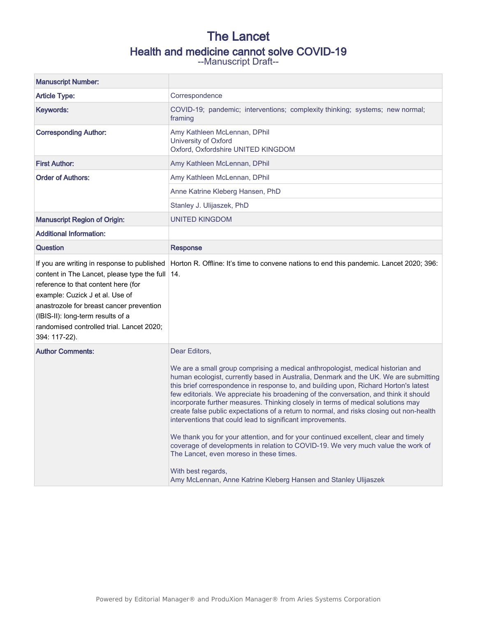# The Lancet Health and medicine cannot solve COVID-19

--Manuscript Draft--

| <b>Manuscript Number:</b>                                                                                                                                                                                                                                                                                               |                                                                                                                                                                                                                                                                                                                                                                                                                                                                                                                                                                                                                                                                                                                                                                                                                                                                                                                                        |
|-------------------------------------------------------------------------------------------------------------------------------------------------------------------------------------------------------------------------------------------------------------------------------------------------------------------------|----------------------------------------------------------------------------------------------------------------------------------------------------------------------------------------------------------------------------------------------------------------------------------------------------------------------------------------------------------------------------------------------------------------------------------------------------------------------------------------------------------------------------------------------------------------------------------------------------------------------------------------------------------------------------------------------------------------------------------------------------------------------------------------------------------------------------------------------------------------------------------------------------------------------------------------|
| <b>Article Type:</b>                                                                                                                                                                                                                                                                                                    | Correspondence                                                                                                                                                                                                                                                                                                                                                                                                                                                                                                                                                                                                                                                                                                                                                                                                                                                                                                                         |
| Keywords:                                                                                                                                                                                                                                                                                                               | COVID-19; pandemic; interventions; complexity thinking; systems; new normal;<br>framing                                                                                                                                                                                                                                                                                                                                                                                                                                                                                                                                                                                                                                                                                                                                                                                                                                                |
| <b>Corresponding Author:</b>                                                                                                                                                                                                                                                                                            | Amy Kathleen McLennan, DPhil<br>University of Oxford<br>Oxford, Oxfordshire UNITED KINGDOM                                                                                                                                                                                                                                                                                                                                                                                                                                                                                                                                                                                                                                                                                                                                                                                                                                             |
| <b>First Author:</b>                                                                                                                                                                                                                                                                                                    | Amy Kathleen McLennan, DPhil                                                                                                                                                                                                                                                                                                                                                                                                                                                                                                                                                                                                                                                                                                                                                                                                                                                                                                           |
| <b>Order of Authors:</b>                                                                                                                                                                                                                                                                                                | Amy Kathleen McLennan, DPhil                                                                                                                                                                                                                                                                                                                                                                                                                                                                                                                                                                                                                                                                                                                                                                                                                                                                                                           |
|                                                                                                                                                                                                                                                                                                                         | Anne Katrine Kleberg Hansen, PhD                                                                                                                                                                                                                                                                                                                                                                                                                                                                                                                                                                                                                                                                                                                                                                                                                                                                                                       |
|                                                                                                                                                                                                                                                                                                                         | Stanley J. Ulijaszek, PhD                                                                                                                                                                                                                                                                                                                                                                                                                                                                                                                                                                                                                                                                                                                                                                                                                                                                                                              |
| <b>Manuscript Region of Origin:</b>                                                                                                                                                                                                                                                                                     | <b>UNITED KINGDOM</b>                                                                                                                                                                                                                                                                                                                                                                                                                                                                                                                                                                                                                                                                                                                                                                                                                                                                                                                  |
| <b>Additional Information:</b>                                                                                                                                                                                                                                                                                          |                                                                                                                                                                                                                                                                                                                                                                                                                                                                                                                                                                                                                                                                                                                                                                                                                                                                                                                                        |
| <b>Question</b>                                                                                                                                                                                                                                                                                                         | <b>Response</b>                                                                                                                                                                                                                                                                                                                                                                                                                                                                                                                                                                                                                                                                                                                                                                                                                                                                                                                        |
| If you are writing in response to published<br>content in The Lancet, please type the full 14.<br>reference to that content here (for<br>example: Cuzick J et al. Use of<br>anastrozole for breast cancer prevention<br>(IBIS-II): long-term results of a<br>randomised controlled trial. Lancet 2020;<br>394: 117-22). | Horton R. Offline: It's time to convene nations to end this pandemic. Lancet 2020; 396:                                                                                                                                                                                                                                                                                                                                                                                                                                                                                                                                                                                                                                                                                                                                                                                                                                                |
| <b>Author Comments:</b>                                                                                                                                                                                                                                                                                                 | Dear Editors,<br>We are a small group comprising a medical anthropologist, medical historian and<br>human ecologist, currently based in Australia, Denmark and the UK. We are submitting<br>this brief correspondence in response to, and building upon, Richard Horton's latest<br>few editorials. We appreciate his broadening of the conversation, and think it should<br>incorporate further measures. Thinking closely in terms of medical solutions may<br>create false public expectations of a return to normal, and risks closing out non-health<br>interventions that could lead to significant improvements.<br>We thank you for your attention, and for your continued excellent, clear and timely<br>coverage of developments in relation to COVID-19. We very much value the work of<br>The Lancet, even moreso in these times.<br>With best regards,<br>Amy McLennan, Anne Katrine Kleberg Hansen and Stanley Ulijaszek |